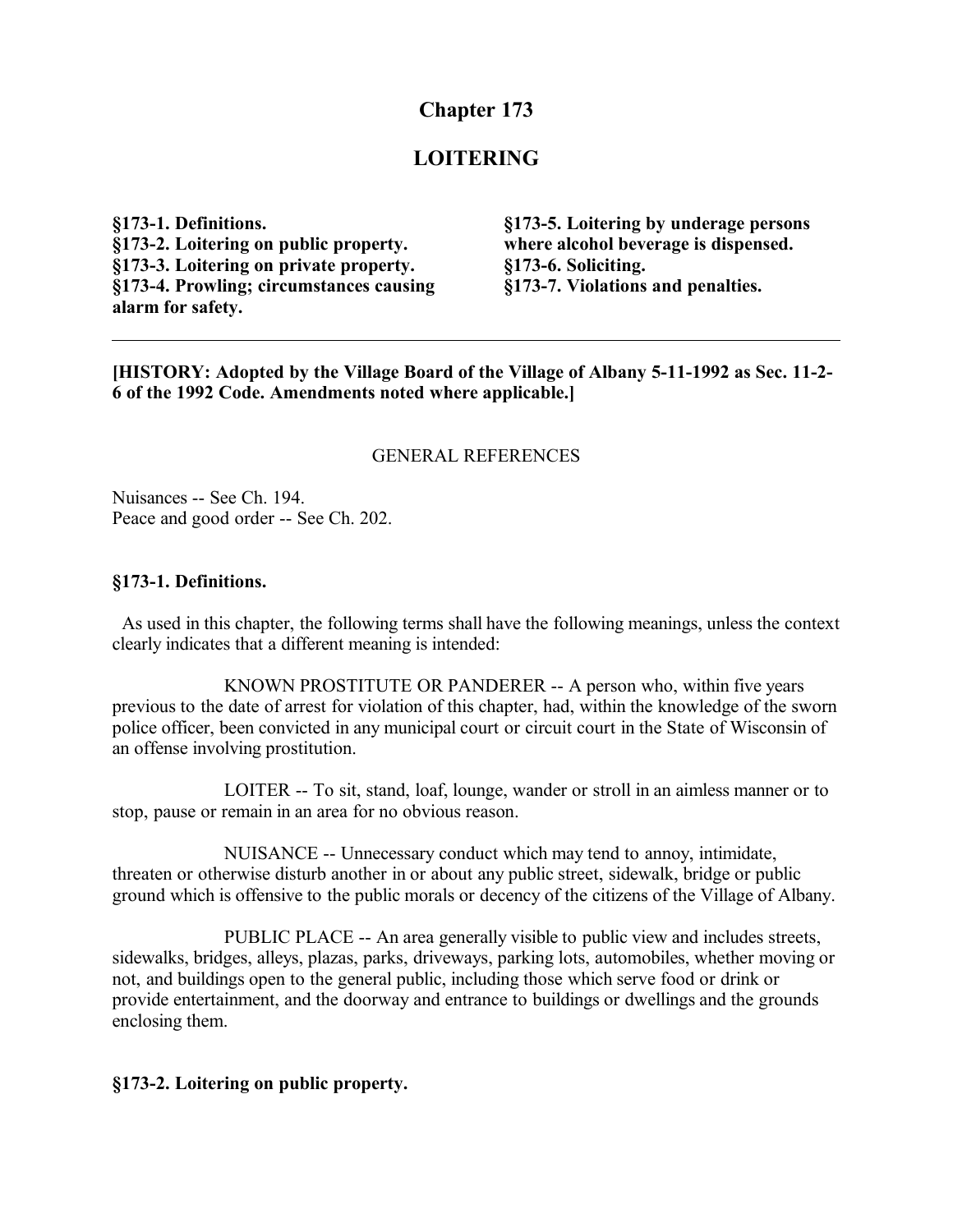# **Chapter 173**

# **LOITERING**

**§173-1. Definitions. §173-2. Loitering on public property. §173-3. Loitering on private property. §173-4. Prowling; circumstances causing alarm for safety.**

**§173-5. Loitering by underage persons where alcohol beverage is dispensed. §173-6. Soliciting. §173-7. Violations and penalties.**

**[HISTORY: Adopted by the Village Board of the Village of Albany 5-11-1992 as Sec. 11-2- 6 of the 1992 Code. Amendments noted where applicable.]**

#### GENERAL REFERENCES

Nuisances -- See Ch. 194. Peace and good order -- See Ch. 202.

#### **§173-1. Definitions.**

 As used in this chapter, the following terms shall have the following meanings, unless the context clearly indicates that a different meaning is intended:

KNOWN PROSTITUTE OR PANDERER -- A person who, within five years previous to the date of arrest for violation of this chapter, had, within the knowledge of the sworn police officer, been convicted in any municipal court or circuit court in the State of Wisconsin of an offense involving prostitution.

LOITER -- To sit, stand, loaf, lounge, wander or stroll in an aimless manner or to stop, pause or remain in an area for no obvious reason.

NUISANCE -- Unnecessary conduct which may tend to annoy, intimidate, threaten or otherwise disturb another in or about any public street, sidewalk, bridge or public ground which is offensive to the public morals or decency of the citizens of the Village of Albany.

PUBLIC PLACE -- An area generally visible to public view and includes streets, sidewalks, bridges, alleys, plazas, parks, driveways, parking lots, automobiles, whether moving or not, and buildings open to the general public, including those which serve food or drink or provide entertainment, and the doorway and entrance to buildings or dwellings and the grounds enclosing them.

#### **§173-2. Loitering on public property.**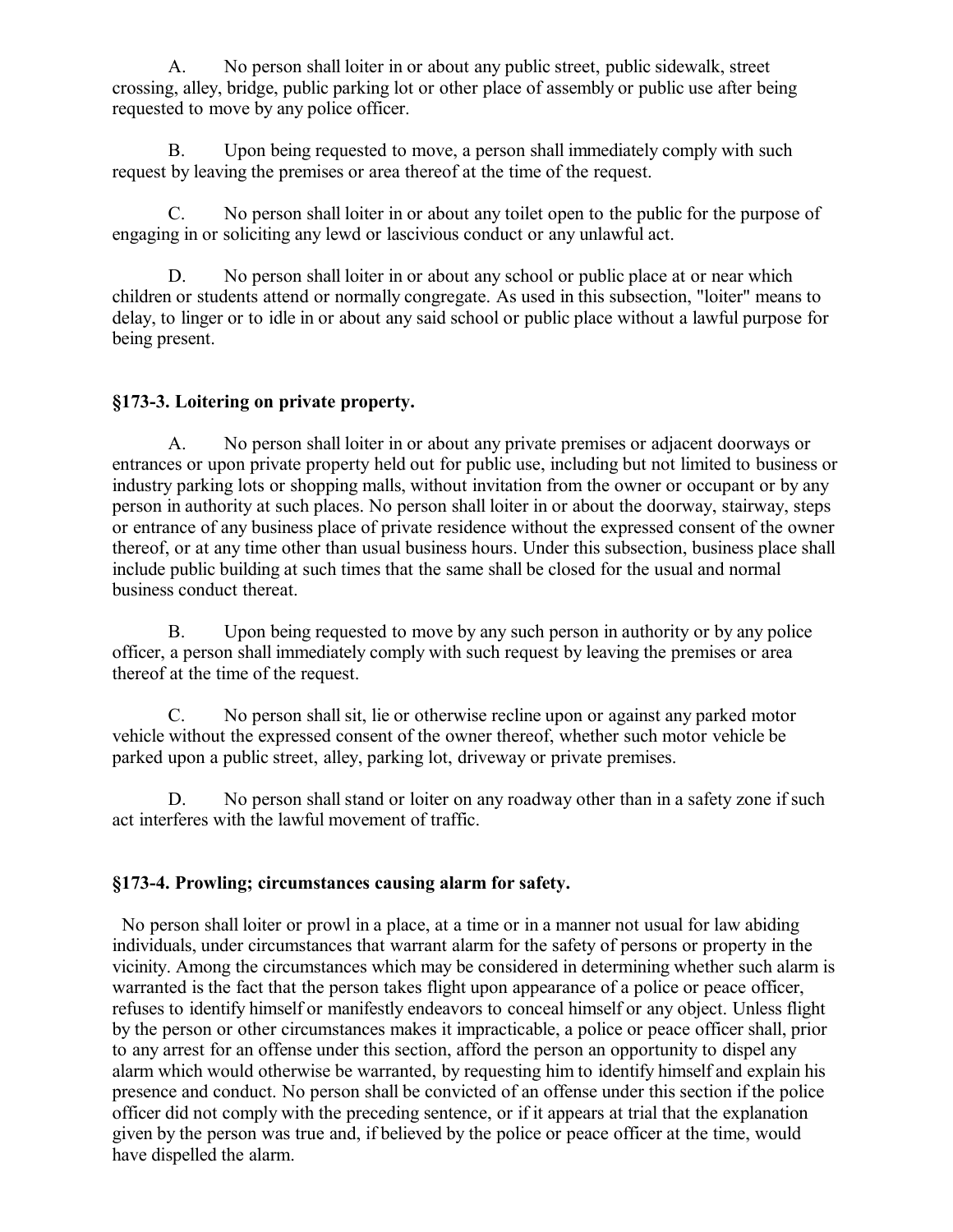A. No person shall loiter in or about any public street, public sidewalk, street crossing, alley, bridge, public parking lot or other place of assembly or public use after being requested to move by any police officer.

B. Upon being requested to move, a person shall immediately comply with such request by leaving the premises or area thereof at the time of the request.

C. No person shall loiter in or about any toilet open to the public for the purpose of engaging in or soliciting any lewd or lascivious conduct or any unlawful act.

D. No person shall loiter in or about any school or public place at or near which children or students attend or normally congregate. As used in this subsection, "loiter" means to delay, to linger or to idle in or about any said school or public place without a lawful purpose for being present.

### **§173-3. Loitering on private property.**

A. No person shall loiter in or about any private premises or adjacent doorways or entrances or upon private property held out for public use, including but not limited to business or industry parking lots or shopping malls, without invitation from the owner or occupant or by any person in authority at such places. No person shall loiter in or about the doorway, stairway, steps or entrance of any business place of private residence without the expressed consent of the owner thereof, or at any time other than usual business hours. Under this subsection, business place shall include public building at such times that the same shall be closed for the usual and normal business conduct thereat.

B. Upon being requested to move by any such person in authority or by any police officer, a person shall immediately comply with such request by leaving the premises or area thereof at the time of the request.

C. No person shall sit, lie or otherwise recline upon or against any parked motor vehicle without the expressed consent of the owner thereof, whether such motor vehicle be parked upon a public street, alley, parking lot, driveway or private premises.

D. No person shall stand or loiter on any roadway other than in a safety zone if such act interferes with the lawful movement of traffic.

### **§173-4. Prowling; circumstances causing alarm for safety.**

 No person shall loiter or prowl in a place, at a time or in a manner not usual for law abiding individuals, under circumstances that warrant alarm for the safety of persons or property in the vicinity. Among the circumstances which may be considered in determining whether such alarm is warranted is the fact that the person takes flight upon appearance of a police or peace officer, refuses to identify himself or manifestly endeavors to conceal himself or any object. Unless flight by the person or other circumstances makes it impracticable, a police or peace officer shall, prior to any arrest for an offense under this section, afford the person an opportunity to dispel any alarm which would otherwise be warranted, by requesting him to identify himself and explain his presence and conduct. No person shall be convicted of an offense under this section if the police officer did not comply with the preceding sentence, or if it appears at trial that the explanation given by the person was true and, if believed by the police or peace officer at the time, would have dispelled the alarm.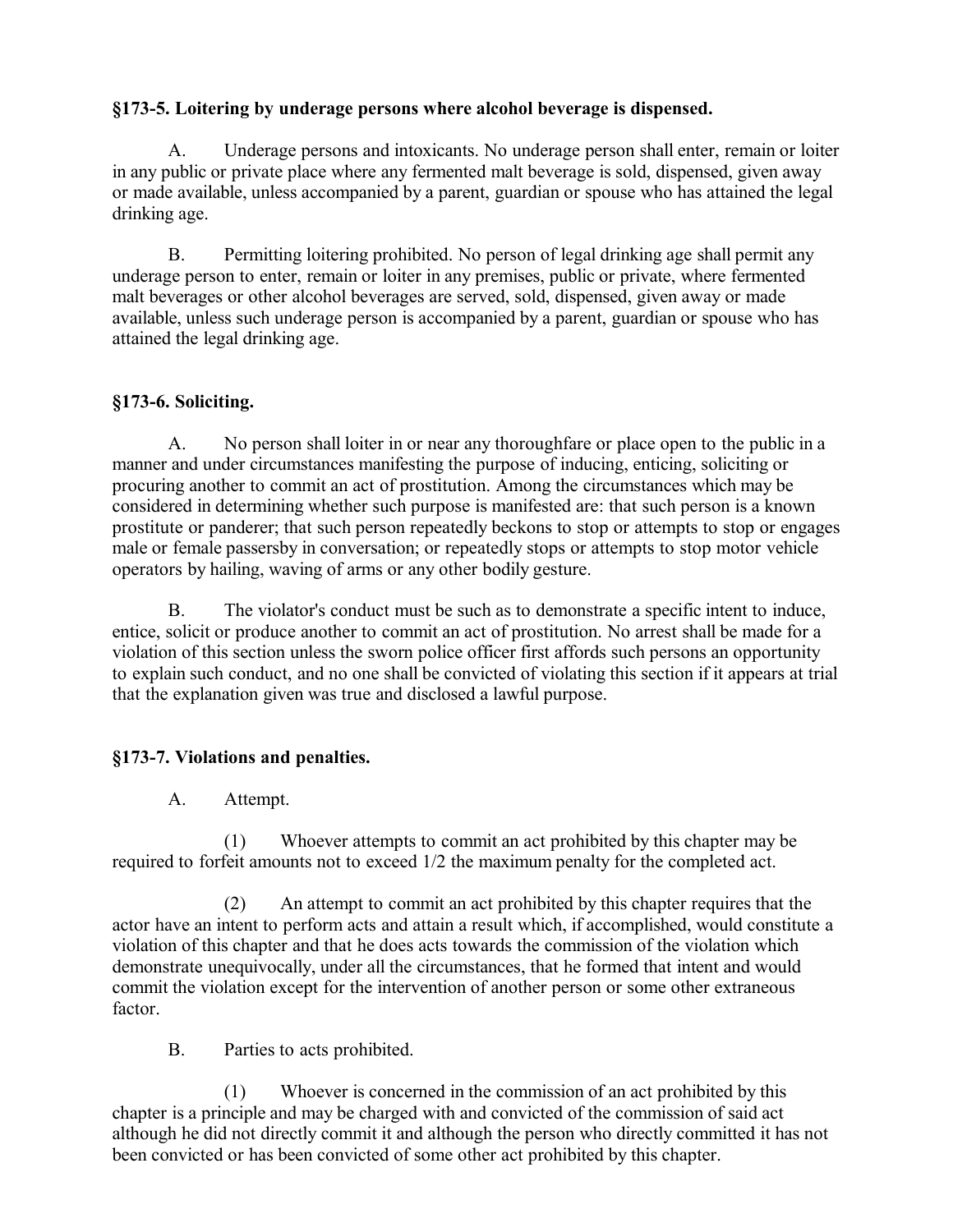## **§173-5. Loitering by underage persons where alcohol beverage is dispensed.**

A. Underage persons and intoxicants. No underage person shall enter, remain or loiter in any public or private place where any fermented malt beverage is sold, dispensed, given away or made available, unless accompanied by a parent, guardian or spouse who has attained the legal drinking age.

B. Permitting loitering prohibited. No person of legal drinking age shall permit any underage person to enter, remain or loiter in any premises, public or private, where fermented malt beverages or other alcohol beverages are served, sold, dispensed, given away or made available, unless such underage person is accompanied by a parent, guardian or spouse who has attained the legal drinking age.

### **§173-6. Soliciting.**

A. No person shall loiter in or near any thoroughfare or place open to the public in a manner and under circumstances manifesting the purpose of inducing, enticing, soliciting or procuring another to commit an act of prostitution. Among the circumstances which may be considered in determining whether such purpose is manifested are: that such person is a known prostitute or panderer; that such person repeatedly beckons to stop or attempts to stop or engages male or female passersby in conversation; or repeatedly stops or attempts to stop motor vehicle operators by hailing, waving of arms or any other bodily gesture.

B. The violator's conduct must be such as to demonstrate a specific intent to induce, entice, solicit or produce another to commit an act of prostitution. No arrest shall be made for a violation of this section unless the sworn police officer first affords such persons an opportunity to explain such conduct, and no one shall be convicted of violating this section if it appears at trial that the explanation given was true and disclosed a lawful purpose.

## **§173-7. Violations and penalties.**

A. Attempt.

(1) Whoever attempts to commit an act prohibited by this chapter may be required to forfeit amounts not to exceed 1/2 the maximum penalty for the completed act.

(2) An attempt to commit an act prohibited by this chapter requires that the actor have an intent to perform acts and attain a result which, if accomplished, would constitute a violation of this chapter and that he does acts towards the commission of the violation which demonstrate unequivocally, under all the circumstances, that he formed that intent and would commit the violation except for the intervention of another person or some other extraneous factor.

B. Parties to acts prohibited.

(1) Whoever is concerned in the commission of an act prohibited by this chapter is a principle and may be charged with and convicted of the commission of said act although he did not directly commit it and although the person who directly committed it has not been convicted or has been convicted of some other act prohibited by this chapter.